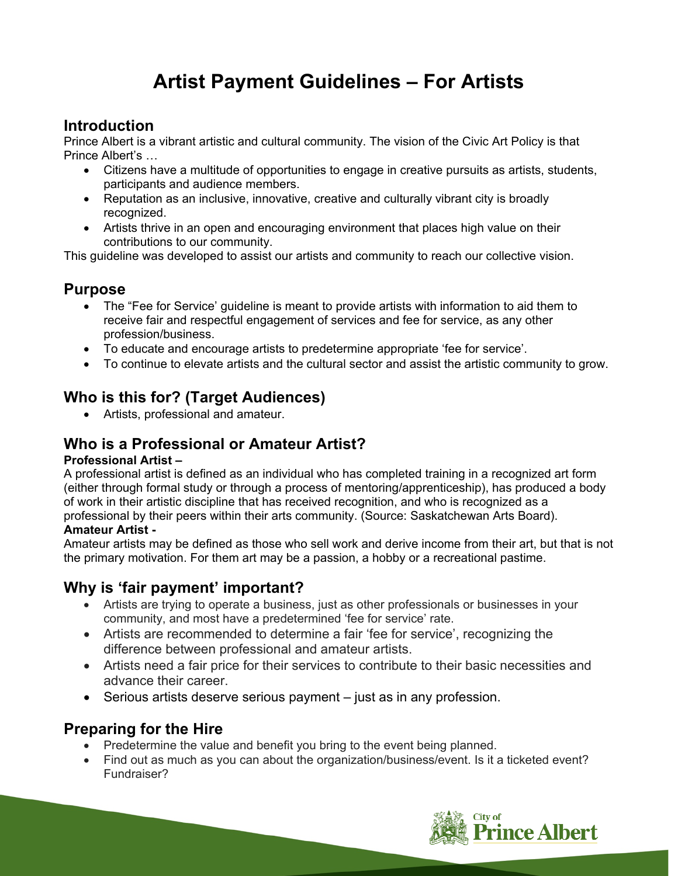# **Artist Payment Guidelines – For Artists**

### **Introduction**

Prince Albert is a vibrant artistic and cultural community. The vision of the Civic Art Policy is that Prince Albert's …

- Citizens have a multitude of opportunities to engage in creative pursuits as artists, students, participants and audience members.
- Reputation as an inclusive, innovative, creative and culturally vibrant city is broadly recognized.
- Artists thrive in an open and encouraging environment that places high value on their contributions to our community.

This guideline was developed to assist our artists and community to reach our collective vision.

#### **Purpose**

- The "Fee for Service' guideline is meant to provide artists with information to aid them to receive fair and respectful engagement of services and fee for service, as any other profession/business.
- To educate and encourage artists to predetermine appropriate 'fee for service'.
- To continue to elevate artists and the cultural sector and assist the artistic community to grow.

### **Who is this for? (Target Audiences)**

Artists, professional and amateur.

#### **Who is a Professional or Amateur Artist?**

#### **Professional Artist –**

A professional artist is defined as an individual who has completed training in a recognized art form (either through formal study or through a process of mentoring/apprenticeship), has produced a body of work in their artistic discipline that has received recognition, and who is recognized as a professional by their peers within their arts community. (Source: Saskatchewan Arts Board). **Amateur Artist -** 

Amateur artists may be defined as those who sell work and derive income from their art, but that is not the primary motivation. For them art may be a passion, a hobby or a recreational pastime.

#### **Why is 'fair payment' important?**

- Artists are trying to operate a business, just as other professionals or businesses in your community, and most have a predetermined 'fee for service' rate.
- Artists are recommended to determine a fair 'fee for service', recognizing the difference between professional and amateur artists.
- Artists need a fair price for their services to contribute to their basic necessities and advance their career.
- $\bullet$  Serious artists deserve serious payment  $-$  just as in any profession.

#### **Preparing for the Hire**

- Predetermine the value and benefit you bring to the event being planned.
- Find out as much as you can about the organization/business/event. Is it a ticketed event? Fundraiser?